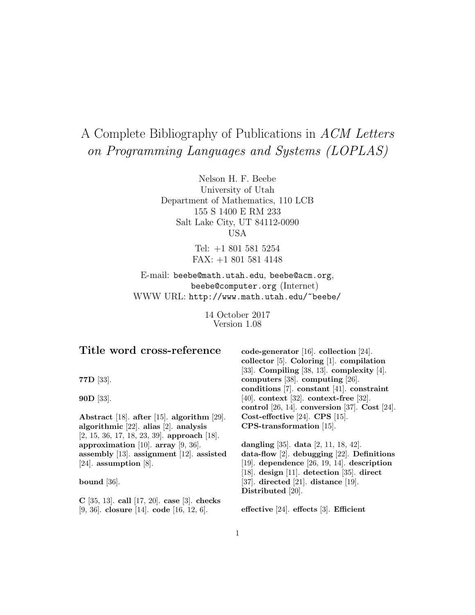# A Complete Bibliography of Publications in ACM Letters on Programming Languages and Systems (LOPLAS)

Nelson H. F. Beebe University of Utah Department of Mathematics, 110 LCB 155 S 1400 E RM 233 Salt Lake City, UT 84112-0090 USA

> Tel: +1 801 581 5254 FAX: +1 801 581 4148

E-mail: beebe@math.utah.edu, beebe@acm.org, beebe@computer.org (Internet) WWW URL: http://www.math.utah.edu/~beebe/

> 14 October 2017 Version 1.08

# **Title word cross-reference**

**77D** [33].

**90D** [33].

**Abstract** [18]. **after** [15]. **algorithm** [29]. **algorithmic** [22]. **alias** [2]. **analysis** [2, 15, 36, 17, 18, 23, 39]. **approach** [18]. **approximation** [10]. **array** [9, 36]. **assembly** [13]. **assignment** [12]. **assisted** [24]. **assumption** [8].

**bound** [36].

**C** [35, 13]. **call** [17, 20]. **case** [3]. **checks** [9, 36]. **closure** [14]. **code** [16, 12, 6].

**code-generator** [16]. **collection** [24]. **collector** [5]. **Coloring** [1]. **compilation** [33]. **Compiling** [38, 13]. **complexity** [4]. **computers** [38]. **computing** [26]. **conditions** [7]. **constant** [41]. **constraint** [40]. **context** [32]. **context-free** [32]. **control** [26, 14]. **conversion** [37]. **Cost** [24]. **Cost-effective** [24]. **CPS** [15]. **CPS-transformation** [15].

**dangling** [35]. **data** [2, 11, 18, 42]. **data-flow** [2]. **debugging** [22]. **Definitions** [19]. **dependence** [26, 19, 14]. **description** [18]. **design** [11]. **detection** [35]. **direct** [37]. **directed** [21]. **distance** [19]. **Distributed** [20].

**effective** [24]. **effects** [3]. **Efficient**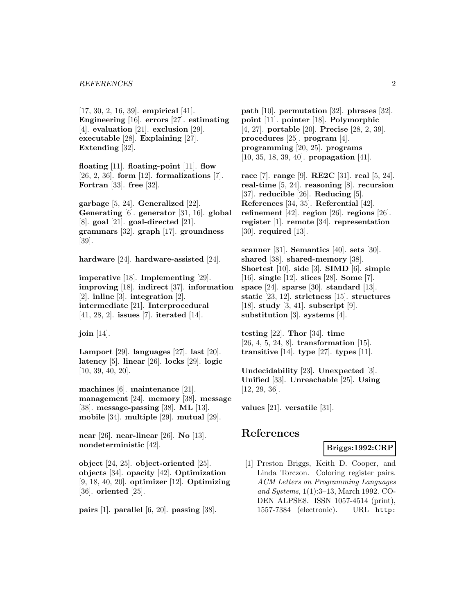[17, 30, 2, 16, 39]. **empirical** [41]. **Engineering** [16]. **errors** [27]. **estimating** [4]. **evaluation** [21]. **exclusion** [29]. **executable** [28]. **Explaining** [27]. **Extending** [32].

**floating** [11]. **floating-point** [11]. **flow** [26, 2, 36]. **form** [12]. **formalizations** [7]. **Fortran** [33]. **free** [32].

**garbage** [5, 24]. **Generalized** [22]. **Generating** [6]. **generator** [31, 16]. **global** [8]. **goal** [21]. **goal-directed** [21]. **grammars** [32]. **graph** [17]. **groundness** [39].

**hardware** [24]. **hardware-assisted** [24].

**imperative** [18]. **Implementing** [29]. **improving** [18]. **indirect** [37]. **information** [2]. **inline** [3]. **integration** [2]. **intermediate** [21]. **Interprocedural** [41, 28, 2]. **issues** [7]. **iterated** [14].

**join** [14].

**Lamport** [29]. **languages** [27]. **last** [20]. **latency** [5]. **linear** [26]. **locks** [29]. **logic** [10, 39, 40, 20].

**machines** [6]. **maintenance** [21]. **management** [24]. **memory** [38]. **message** [38]. **message-passing** [38]. **ML** [13]. **mobile** [34]. **multiple** [29]. **mutual** [29].

**near** [26]. **near-linear** [26]. **No** [13]. **nondeterministic** [42].

**object** [24, 25]. **object-oriented** [25]. **objects** [34]. **opacity** [42]. **Optimization** [9, 18, 40, 20]. **optimizer** [12]. **Optimizing** [36]. **oriented** [25].

**pairs** [1]. **parallel** [6, 20]. **passing** [38].

**path** [10]. **permutation** [32]. **phrases** [32]. **point** [11]. **pointer** [18]. **Polymorphic** [4, 27]. **portable** [20]. **Precise** [28, 2, 39]. **procedures** [25]. **program** [4]. **programming** [20, 25]. **programs** [10, 35, 18, 39, 40]. **propagation** [41].

**race** [7]. **range** [9]. **RE2C** [31]. **real** [5, 24]. **real-time** [5, 24]. **reasoning** [8]. **recursion** [37]. **reducible** [26]. **Reducing** [5]. **References** [34, 35]. **Referential** [42]. **refinement** [42]. **region** [26]. **regions** [26]. **register** [1]. **remote** [34]. **representation** [30]. **required** [13].

**scanner** [31]. **Semantics** [40]. **sets** [30]. **shared** [38]. **shared-memory** [38]. **Shortest** [10]. **side** [3]. **SIMD** [6]. **simple** [16]. **single** [12]. **slices** [28]. **Some** [7]. **space** [24]. **sparse** [30]. **standard** [13]. **static** [23, 12]. **strictness** [15]. **structures** [18]. **study** [3, 41]. **subscript** [9]. **substitution** [3]. **systems** [4].

**testing** [22]. **Thor** [34]. **time** [26, 4, 5, 24, 8]. **transformation** [15]. **transitive** [14]. **type** [27]. **types** [11].

**Undecidability** [23]. **Unexpected** [3]. **Unified** [33]. **Unreachable** [25]. **Using** [12, 29, 36].

**values** [21]. **versatile** [31].

# **References**

# **Briggs:1992:CRP**

[1] Preston Briggs, Keith D. Cooper, and Linda Torczon. Coloring register pairs. ACM Letters on Programming Languages and Systems, 1(1):3–13, March 1992. CO-DEN ALPSE8. ISSN 1057-4514 (print), 1557-7384 (electronic). URL http: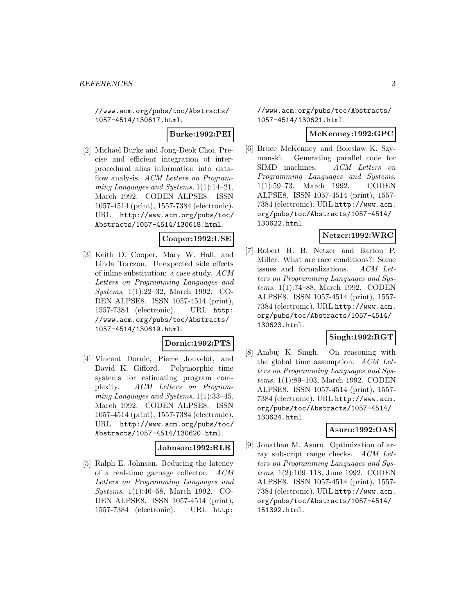//www.acm.org/pubs/toc/Abstracts/ 1057-4514/130617.html.

## **Burke:1992:PEI**

[2] Michael Burke and Jong-Deok Choi. Precise and efficient integration of interprocedural alias information into dataflow analysis. ACM Letters on Programming Languages and Systems, 1(1):14–21, March 1992. CODEN ALPSE8. ISSN 1057-4514 (print), 1557-7384 (electronic). URL http://www.acm.org/pubs/toc/ Abstracts/1057-4514/130618.html.

# **Cooper:1992:USE**

[3] Keith D. Cooper, Mary W. Hall, and Linda Torczon. Unexpected side effects of inline substitution: a case study. ACM Letters on Programming Languages and Systems, 1(1):22–32, March 1992. CO-DEN ALPSE8. ISSN 1057-4514 (print), 1557-7384 (electronic). URL http: //www.acm.org/pubs/toc/Abstracts/ 1057-4514/130619.html.

#### **Dornic:1992:PTS**

[4] Vincent Dornic, Pierre Jouvelot, and David K. Gifford. Polymorphic time systems for estimating program complexity. ACM Letters on Programming Languages and Systems, 1(1):33–45, March 1992. CODEN ALPSE8. ISSN 1057-4514 (print), 1557-7384 (electronic). URL http://www.acm.org/pubs/toc/ Abstracts/1057-4514/130620.html.

# **Johnson:1992:RLR**

[5] Ralph E. Johnson. Reducing the latency of a real-time garbage collector. ACM Letters on Programming Languages and Systems, 1(1):46–58, March 1992. CO-DEN ALPSE8. ISSN 1057-4514 (print), 1557-7384 (electronic). URL http:

//www.acm.org/pubs/toc/Abstracts/ 1057-4514/130621.html.

#### **McKenney:1992:GPC**

[6] Bruce McKenney and Boleslaw K. Szymanski. Generating parallel code for SIMD machines. ACM Letters on Programming Languages and Systems, 1(1):59–73, March 1992. CODEN ALPSE8. ISSN 1057-4514 (print), 1557- 7384 (electronic). URL http://www.acm. org/pubs/toc/Abstracts/1057-4514/ 130622.html.

## **Netzer:1992:WRC**

[7] Robert H. B. Netzer and Barton P. Miller. What are race conditions?: Some issues and formalizations. ACM Letters on Programming Languages and Systems, 1(1):74–88, March 1992. CODEN ALPSE8. ISSN 1057-4514 (print), 1557- 7384 (electronic). URL http://www.acm. org/pubs/toc/Abstracts/1057-4514/ 130623.html.

## **Singh:1992:RGT**

[8] Ambuj K. Singh. On reasoning with the global time assumption. ACM Letters on Programming Languages and Systems, 1(1):89–103, March 1992. CODEN ALPSE8. ISSN 1057-4514 (print), 1557- 7384 (electronic). URL http://www.acm. org/pubs/toc/Abstracts/1057-4514/ 130624.html.

# **Asuru:1992:OAS**

[9] Jonathan M. Asuru. Optimization of array subscript range checks. ACM Letters on Programming Languages and Systems, 1(2):109–118, June 1992. CODEN ALPSE8. ISSN 1057-4514 (print), 1557- 7384 (electronic). URL http://www.acm. org/pubs/toc/Abstracts/1057-4514/ 151392.html.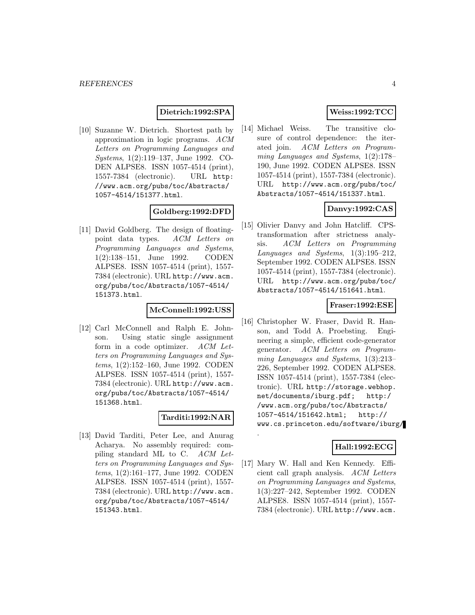#### **Dietrich:1992:SPA**

[10] Suzanne W. Dietrich. Shortest path by approximation in logic programs. ACM Letters on Programming Languages and Systems, 1(2):119–137, June 1992. CO-DEN ALPSE8. ISSN 1057-4514 (print), 1557-7384 (electronic). URL http: //www.acm.org/pubs/toc/Abstracts/ 1057-4514/151377.html.

#### **Goldberg:1992:DFD**

[11] David Goldberg. The design of floatingpoint data types. ACM Letters on Programming Languages and Systems, 1(2):138–151, June 1992. CODEN ALPSE8. ISSN 1057-4514 (print), 1557- 7384 (electronic). URL http://www.acm. org/pubs/toc/Abstracts/1057-4514/ 151373.html.

#### **McConnell:1992:USS**

[12] Carl McConnell and Ralph E. Johnson. Using static single assignment form in a code optimizer. ACM Letters on Programming Languages and Systems, 1(2):152–160, June 1992. CODEN ALPSE8. ISSN 1057-4514 (print), 1557- 7384 (electronic). URL http://www.acm. org/pubs/toc/Abstracts/1057-4514/ 151368.html.

# **Tarditi:1992:NAR**

.

[13] David Tarditi, Peter Lee, and Anurag Acharya. No assembly required: compiling standard ML to C. ACM Letters on Programming Languages and Systems, 1(2):161–177, June 1992. CODEN ALPSE8. ISSN 1057-4514 (print), 1557- 7384 (electronic). URL http://www.acm. org/pubs/toc/Abstracts/1057-4514/ 151343.html.

# **Weiss:1992:TCC**

[14] Michael Weiss. The transitive closure of control dependence: the iterated join. ACM Letters on Programming Languages and Systems, 1(2):178– 190, June 1992. CODEN ALPSE8. ISSN 1057-4514 (print), 1557-7384 (electronic). URL http://www.acm.org/pubs/toc/ Abstracts/1057-4514/151337.html.

# **Danvy:1992:CAS**

[15] Olivier Danvy and John Hatcliff. CPStransformation after strictness analysis. ACM Letters on Programming Languages and Systems,  $1(3):195-212$ , September 1992. CODEN ALPSE8. ISSN 1057-4514 (print), 1557-7384 (electronic). URL http://www.acm.org/pubs/toc/ Abstracts/1057-4514/151641.html.

#### **Fraser:1992:ESE**

[16] Christopher W. Fraser, David R. Hanson, and Todd A. Proebsting. Engineering a simple, efficient code-generator generator. ACM Letters on Programming Languages and Systems, 1(3):213– 226, September 1992. CODEN ALPSE8. ISSN 1057-4514 (print), 1557-7384 (electronic). URL http://storage.webhop. net/documents/iburg.pdf; http:/ /www.acm.org/pubs/toc/Abstracts/ 1057-4514/151642.html; http:// www.cs.princeton.edu/software/iburg/

# **Hall:1992:ECG**

[17] Mary W. Hall and Ken Kennedy. Efficient call graph analysis. ACM Letters on Programming Languages and Systems, 1(3):227–242, September 1992. CODEN ALPSE8. ISSN 1057-4514 (print), 1557- 7384 (electronic). URL http://www.acm.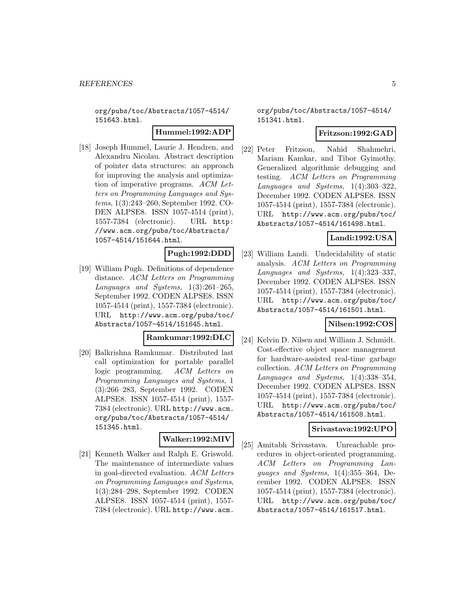org/pubs/toc/Abstracts/1057-4514/ 151643.html.

#### **Hummel:1992:ADP**

[18] Joseph Hummel, Laurie J. Hendren, and Alexandru Nicolau. Abstract description of pointer data structures: an approach for improving the analysis and optimization of imperative programs. ACM Letters on Programming Languages and Systems, 1(3):243–260, September 1992. CO-DEN ALPSE8. ISSN 1057-4514 (print), 1557-7384 (electronic). URL http: //www.acm.org/pubs/toc/Abstracts/ 1057-4514/151644.html.

#### **Pugh:1992:DDD**

[19] William Pugh. Definitions of dependence distance. ACM Letters on Programming Languages and Systems, 1(3):261–265, September 1992. CODEN ALPSE8. ISSN 1057-4514 (print), 1557-7384 (electronic). URL http://www.acm.org/pubs/toc/ Abstracts/1057-4514/151645.html.

# **Ramkumar:1992:DLC**

[20] Balkrishna Ramkumar. Distributed last call optimization for portable parallel logic programming. ACM Letters on Programming Languages and Systems, 1 (3):266–283, September 1992. CODEN ALPSE8. ISSN 1057-4514 (print), 1557- 7384 (electronic). URL http://www.acm. org/pubs/toc/Abstracts/1057-4514/ 151345.html.

# **Walker:1992:MIV**

[21] Kenneth Walker and Ralph E. Griswold. The maintenance of intermediate values in goal-directed evaluation. ACM Letters on Programming Languages and Systems, 1(3):284–298, September 1992. CODEN ALPSE8. ISSN 1057-4514 (print), 1557- 7384 (electronic). URL http://www.acm.

org/pubs/toc/Abstracts/1057-4514/ 151341.html.

#### **Fritzson:1992:GAD**

[22] Peter Fritzson, Nahid Shahmehri, Mariam Kamkar, and Tibor Gyimothy. Generalized algorithmic debugging and testing. ACM Letters on Programming Languages and Systems, 1(4):303–322, December 1992. CODEN ALPSE8. ISSN 1057-4514 (print), 1557-7384 (electronic). URL http://www.acm.org/pubs/toc/ Abstracts/1057-4514/161498.html.

# **Landi:1992:USA**

[23] William Landi. Undecidability of static analysis. ACM Letters on Programming Languages and Systems, 1(4):323–337, December 1992. CODEN ALPSE8. ISSN 1057-4514 (print), 1557-7384 (electronic). URL http://www.acm.org/pubs/toc/ Abstracts/1057-4514/161501.html.

#### **Nilsen:1992:COS**

[24] Kelvin D. Nilsen and William J. Schmidt. Cost-effective object space management for hardware-assisted real-time garbage collection. ACM Letters on Programming Languages and Systems, 1(4):338–354, December 1992. CODEN ALPSE8. ISSN 1057-4514 (print), 1557-7384 (electronic). URL http://www.acm.org/pubs/toc/ Abstracts/1057-4514/161508.html.

#### **Srivastava:1992:UPO**

[25] Amitabh Srivastava. Unreachable procedures in object-oriented programming. ACM Letters on Programming Languages and Systems, 1(4):355–364, December 1992. CODEN ALPSE8. ISSN 1057-4514 (print), 1557-7384 (electronic). URL http://www.acm.org/pubs/toc/ Abstracts/1057-4514/161517.html.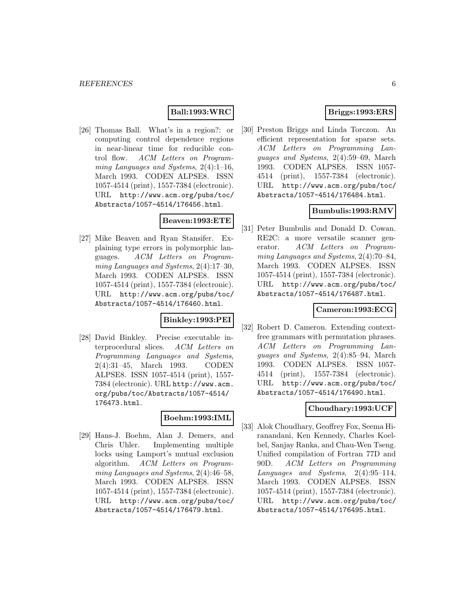# **Ball:1993:WRC**

[26] Thomas Ball. What's in a region?: or computing control dependence regions in near-linear time for reducible control flow. ACM Letters on Programming Languages and Systems, 2(4):1–16, March 1993. CODEN ALPSE8. ISSN 1057-4514 (print), 1557-7384 (electronic). URL http://www.acm.org/pubs/toc/ Abstracts/1057-4514/176456.html.

#### **Beaven:1993:ETE**

[27] Mike Beaven and Ryan Stansifer. Explaining type errors in polymorphic languages. ACM Letters on Programming Languages and Systems, 2(4):17–30, March 1993. CODEN ALPSE8. ISSN 1057-4514 (print), 1557-7384 (electronic). URL http://www.acm.org/pubs/toc/ Abstracts/1057-4514/176460.html.

## **Binkley:1993:PEI**

[28] David Binkley. Precise executable interprocedural slices. ACM Letters on Programming Languages and Systems, 2(4):31–45, March 1993. CODEN ALPSE8. ISSN 1057-4514 (print), 1557- 7384 (electronic). URL http://www.acm. org/pubs/toc/Abstracts/1057-4514/ 176473.html.

#### **Boehm:1993:IML**

[29] Hans-J. Boehm, Alan J. Demers, and Chris Uhler. Implementing multiple locks using Lamport's mutual exclusion algorithm. ACM Letters on Programming Languages and Systems, 2(4):46–58, March 1993. CODEN ALPSE8. ISSN 1057-4514 (print), 1557-7384 (electronic). URL http://www.acm.org/pubs/toc/ Abstracts/1057-4514/176479.html.

# **Briggs:1993:ERS**

[30] Preston Briggs and Linda Torczon. An efficient representation for sparse sets. ACM Letters on Programming Languages and Systems, 2(4):59–69, March 1993. CODEN ALPSE8. ISSN 1057- 4514 (print), 1557-7384 (electronic). URL http://www.acm.org/pubs/toc/ Abstracts/1057-4514/176484.html.

#### **Bumbulis:1993:RMV**

[31] Peter Bumbulis and Donald D. Cowan. RE2C: a more versatile scanner generator. ACM Letters on Programming Languages and Systems, 2(4):70–84, March 1993. CODEN ALPSE8. ISSN 1057-4514 (print), 1557-7384 (electronic). URL http://www.acm.org/pubs/toc/ Abstracts/1057-4514/176487.html.

## **Cameron:1993:ECG**

[32] Robert D. Cameron. Extending contextfree grammars with permutation phrases. ACM Letters on Programming Languages and Systems, 2(4):85–94, March 1993. CODEN ALPSE8. ISSN 1057- 4514 (print), 1557-7384 (electronic). URL http://www.acm.org/pubs/toc/ Abstracts/1057-4514/176490.html.

#### **Choudhary:1993:UCF**

[33] Alok Choudhary, Geoffrey Fox, Seema Hiranandani, Ken Kennedy, Charles Koelbel, Sanjay Ranka, and Chau-Wen Tseng. Unified compilation of Fortran 77D and 90D. ACM Letters on Programming Languages and Systems, 2(4):95–114, March 1993. CODEN ALPSE8. ISSN 1057-4514 (print), 1557-7384 (electronic). URL http://www.acm.org/pubs/toc/ Abstracts/1057-4514/176495.html.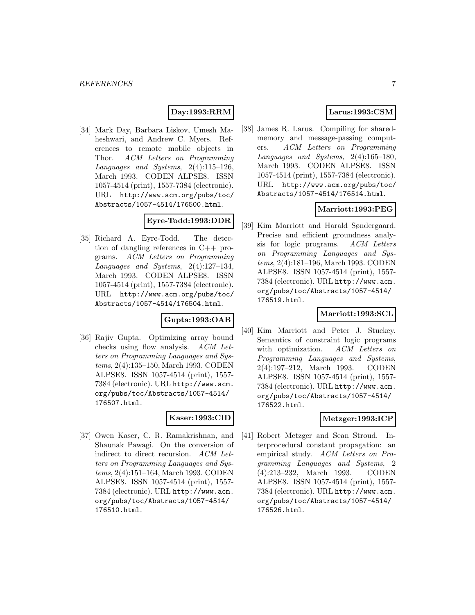# **Day:1993:RRM**

[34] Mark Day, Barbara Liskov, Umesh Maheshwari, and Andrew C. Myers. References to remote mobile objects in Thor. ACM Letters on Programming Languages and Systems, 2(4):115–126, March 1993. CODEN ALPSE8. ISSN 1057-4514 (print), 1557-7384 (electronic). URL http://www.acm.org/pubs/toc/ Abstracts/1057-4514/176500.html.

# **Eyre-Todd:1993:DDR**

[35] Richard A. Eyre-Todd. The detection of dangling references in C++ programs. ACM Letters on Programming Languages and Systems, 2(4):127–134, March 1993. CODEN ALPSE8. ISSN 1057-4514 (print), 1557-7384 (electronic). URL http://www.acm.org/pubs/toc/ Abstracts/1057-4514/176504.html.

## **Gupta:1993:OAB**

[36] Rajiv Gupta. Optimizing array bound checks using flow analysis. ACM Letters on Programming Languages and Systems, 2(4):135–150, March 1993. CODEN ALPSE8. ISSN 1057-4514 (print), 1557- 7384 (electronic). URL http://www.acm. org/pubs/toc/Abstracts/1057-4514/ 176507.html.

#### **Kaser:1993:CID**

[37] Owen Kaser, C. R. Ramakrishnan, and Shaunak Pawagi. On the conversion of indirect to direct recursion. ACM Letters on Programming Languages and Systems, 2(4):151–164, March 1993. CODEN ALPSE8. ISSN 1057-4514 (print), 1557- 7384 (electronic). URL http://www.acm. org/pubs/toc/Abstracts/1057-4514/ 176510.html.

# **Larus:1993:CSM**

[38] James R. Larus. Compiling for sharedmemory and message-passing computers. ACM Letters on Programming Languages and Systems, 2(4):165–180, March 1993. CODEN ALPSE8. ISSN 1057-4514 (print), 1557-7384 (electronic). URL http://www.acm.org/pubs/toc/ Abstracts/1057-4514/176514.html.

## **Marriott:1993:PEG**

[39] Kim Marriott and Harald Søndergaard. Precise and efficient groundness analysis for logic programs. ACM Letters on Programming Languages and Systems, 2(4):181–196, March 1993. CODEN ALPSE8. ISSN 1057-4514 (print), 1557- 7384 (electronic). URL http://www.acm. org/pubs/toc/Abstracts/1057-4514/ 176519.html.

#### **Marriott:1993:SCL**

[40] Kim Marriott and Peter J. Stuckey. Semantics of constraint logic programs with optimization. ACM Letters on Programming Languages and Systems, 2(4):197–212, March 1993. CODEN ALPSE8. ISSN 1057-4514 (print), 1557- 7384 (electronic). URL http://www.acm. org/pubs/toc/Abstracts/1057-4514/ 176522.html.

# **Metzger:1993:ICP**

[41] Robert Metzger and Sean Stroud. Interprocedural constant propagation: an empirical study. ACM Letters on Programming Languages and Systems, 2 (4):213–232, March 1993. CODEN ALPSE8. ISSN 1057-4514 (print), 1557- 7384 (electronic). URL http://www.acm. org/pubs/toc/Abstracts/1057-4514/ 176526.html.